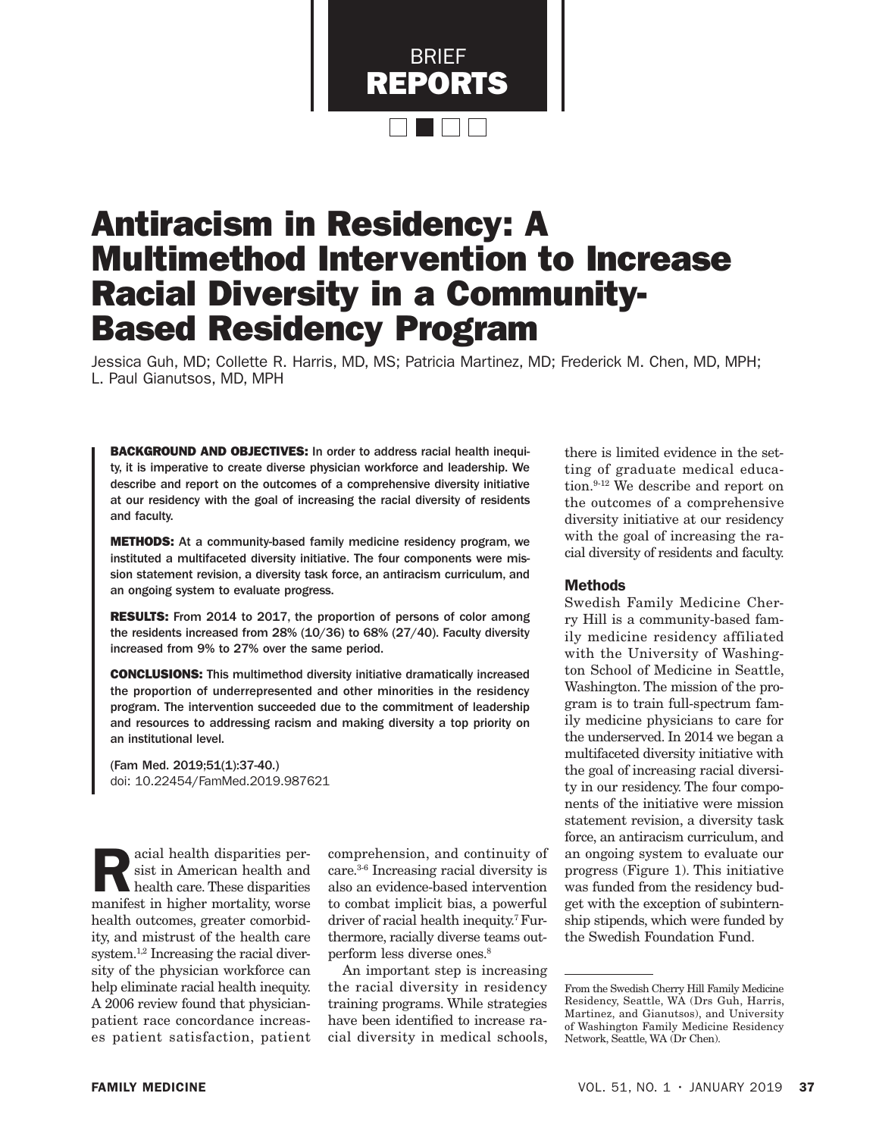

# Antiracism in Residency: A Multimethod Intervention to Increase Racial Diversity in a Community-Based Residency Program

Jessica Guh, MD; Collette R. Harris, MD, MS; Patricia Martinez, MD; Frederick M. Chen, MD, MPH; L. Paul Gianutsos, MD, MPH

BACKGROUND AND OBJECTIVES: In order to address racial health inequity, it is imperative to create diverse physician workforce and leadership. We describe and report on the outcomes of a comprehensive diversity initiative at our residency with the goal of increasing the racial diversity of residents and faculty.

METHODS: At a community-based family medicine residency program, we instituted a multifaceted diversity initiative. The four components were mission statement revision, a diversity task force, an antiracism curriculum, and an ongoing system to evaluate progress.

RESULTS: From 2014 to 2017, the proportion of persons of color among the residents increased from 28% (10/36) to 68% (27/40). Faculty diversity increased from 9% to 27% over the same period.

CONCLUSIONS: This multimethod diversity initiative dramatically increased the proportion of underrepresented and other minorities in the residency program. The intervention succeeded due to the commitment of leadership and resources to addressing racism and making diversity a top priority on an institutional level.

(Fam Med. 2019;51(1):37-40.) doi: 10.22454/FamMed.2019.987621

acial health disparities persist in American health and health care. These disparities manifest in higher mortality, worse health outcomes, greater comorbidity, and mistrust of the health care system.1,2 Increasing the racial diversity of the physician workforce can help eliminate racial health inequity. A 2006 review found that physicianpatient race concordance increases patient satisfaction, patient

comprehension, and continuity of care.3-6 Increasing racial diversity is also an evidence-based intervention to combat implicit bias, a powerful driver of racial health inequity.7 Furthermore, racially diverse teams outperform less diverse ones.8

An important step is increasing the racial diversity in residency training programs. While strategies have been identified to increase racial diversity in medical schools, there is limited evidence in the setting of graduate medical education.<sup>9-12</sup> We describe and report on the outcomes of a comprehensive diversity initiative at our residency with the goal of increasing the racial diversity of residents and faculty.

# Methods

Swedish Family Medicine Cherry Hill is a community-based family medicine residency affiliated with the University of Washington School of Medicine in Seattle, Washington. The mission of the program is to train full-spectrum family medicine physicians to care for the underserved. In 2014 we began a multifaceted diversity initiative with the goal of increasing racial diversity in our residency. The four components of the initiative were mission statement revision, a diversity task force, an antiracism curriculum, and an ongoing system to evaluate our progress (Figure 1). This initiative was funded from the residency budget with the exception of subinternship stipends, which were funded by the Swedish Foundation Fund.

From the Swedish Cherry Hill Family Medicine Residency, Seattle, WA (Drs Guh, Harris, Martinez, and Gianutsos), and University of Washington Family Medicine Residency Network, Seattle, WA (Dr Chen).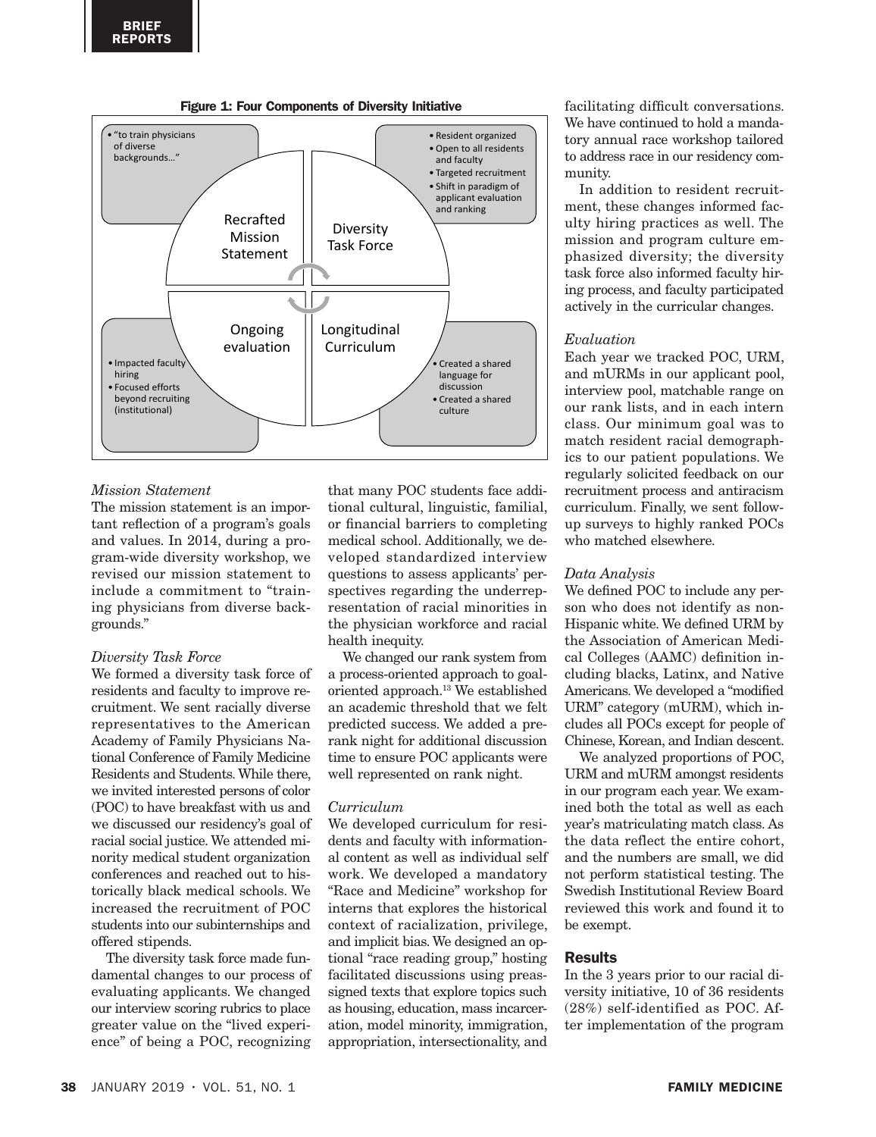



# *Mission Statement*

The mission statement is an important reflection of a program's goals and values. In 2014, during a program-wide diversity workshop, we revised our mission statement to include a commitment to "training physicians from diverse backgrounds."

#### *Diversity Task Force*

We formed a diversity task force of residents and faculty to improve recruitment. We sent racially diverse representatives to the American Academy of Family Physicians National Conference of Family Medicine Residents and Students. While there, we invited interested persons of color (POC) to have breakfast with us and we discussed our residency's goal of racial social justice. We attended minority medical student organization conferences and reached out to historically black medical schools. We increased the recruitment of POC students into our subinternships and offered stipends.

The diversity task force made fundamental changes to our process of evaluating applicants. We changed our interview scoring rubrics to place greater value on the "lived experience" of being a POC, recognizing that many POC students face additional cultural, linguistic, familial, or financial barriers to completing medical school. Additionally, we developed standardized interview questions to assess applicants' perspectives regarding the underrepresentation of racial minorities in the physician workforce and racial health inequity.

We changed our rank system from a process-oriented approach to goaloriented approach.13 We established an academic threshold that we felt predicted success. We added a prerank night for additional discussion time to ensure POC applicants were well represented on rank night.

#### *Curriculum*

We developed curriculum for residents and faculty with informational content as well as individual self work. We developed a mandatory "Race and Medicine" workshop for interns that explores the historical context of racialization, privilege, and implicit bias. We designed an optional "race reading group," hosting facilitated discussions using preassigned texts that explore topics such as housing, education, mass incarceration, model minority, immigration, appropriation, intersectionality, and

facilitating difficult conversations. We have continued to hold a mandatory annual race workshop tailored to address race in our residency community.

In addition to resident recruitment, these changes informed faculty hiring practices as well. The mission and program culture emphasized diversity; the diversity task force also informed faculty hiring process, and faculty participated actively in the curricular changes.

#### *Evaluation*

Each year we tracked POC, URM, and mURMs in our applicant pool, interview pool, matchable range on our rank lists, and in each intern class. Our minimum goal was to match resident racial demographics to our patient populations. We regularly solicited feedback on our recruitment process and antiracism curriculum. Finally, we sent followup surveys to highly ranked POCs who matched elsewhere.

# *Data Analysis*

We defined POC to include any person who does not identify as non-Hispanic white. We defined URM by the Association of American Medical Colleges (AAMC) definition including blacks, Latinx, and Native Americans. We developed a "modified URM" category (mURM), which includes all POCs except for people of Chinese, Korean, and Indian descent.

We analyzed proportions of POC, URM and mURM amongst residents in our program each year. We examined both the total as well as each year's matriculating match class. As the data reflect the entire cohort, and the numbers are small, we did not perform statistical testing. The Swedish Institutional Review Board reviewed this work and found it to be exempt.

# Results

In the 3 years prior to our racial diversity initiative, 10 of 36 residents (28%) self-identified as POC. After implementation of the program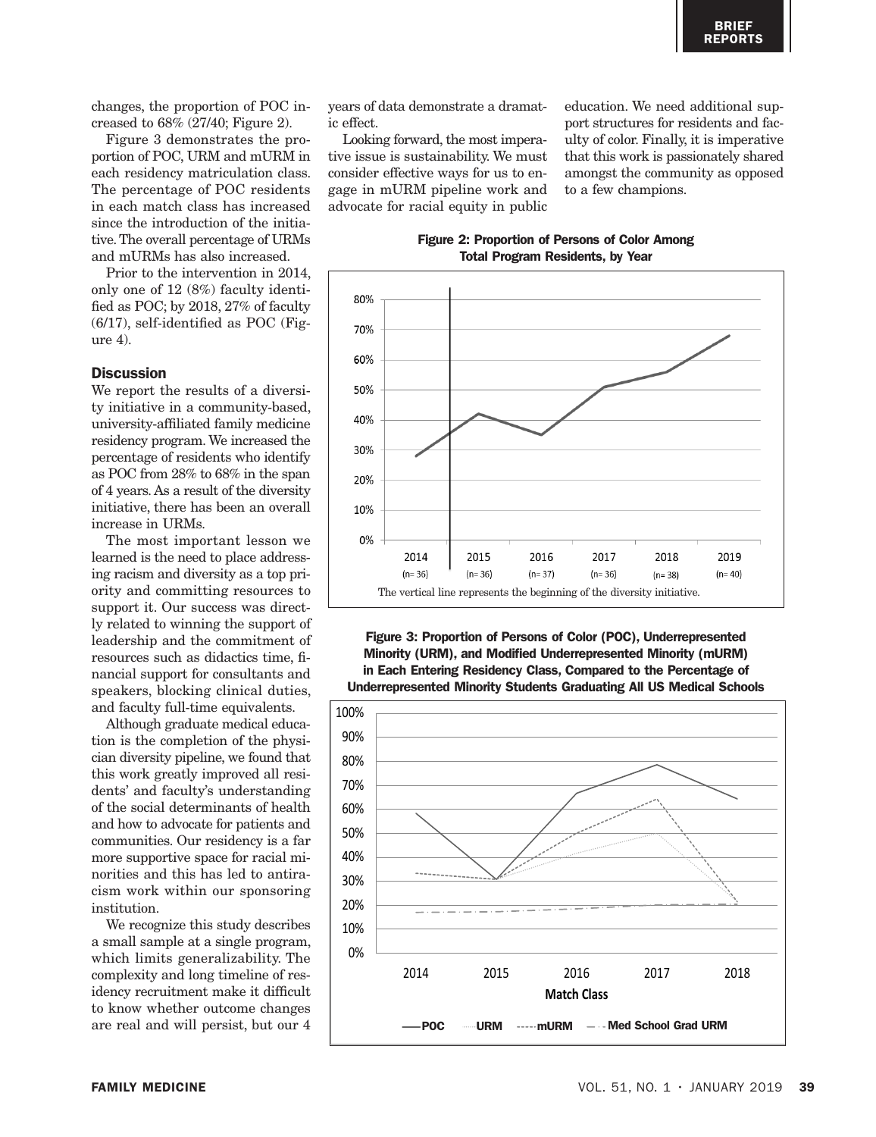changes, the proportion of POC increased to 68% (27/40; Figure 2).

Figure 3 demonstrates the proportion of POC, URM and mURM in each residency matriculation class. The percentage of POC residents in each match class has increased since the introduction of the initiative. The overall percentage of URMs and mURMs has also increased.

Prior to the intervention in 2014, only one of 12 (8%) faculty identified as POC; by 2018, 27% of faculty (6/17), self-identified as POC (Figure 4).

#### **Discussion**

We report the results of a diversity initiative in a community-based, university-affiliated family medicine residency program. We increased the percentage of residents who identify as POC from 28% to 68% in the span of 4 years. As a result of the diversity initiative, there has been an overall increase in URMs.

The most important lesson we learned is the need to place addressing racism and diversity as a top priority and committing resources to support it. Our success was directly related to winning the support of leadership and the commitment of resources such as didactics time, financial support for consultants and speakers, blocking clinical duties, and faculty full-time equivalents.

Although graduate medical education is the completion of the physician diversity pipeline, we found that this work greatly improved all residents' and faculty's understanding of the social determinants of health and how to advocate for patients and communities. Our residency is a far more supportive space for racial minorities and this has led to antiracism work within our sponsoring institution.

We recognize this study describes a small sample at a single program, which limits generalizability. The complexity and long timeline of residency recruitment make it difficult to know whether outcome changes are real and will persist, but our 4 years of data demonstrate a dramatic effect.

Looking forward, the most imperative issue is sustainability. We must consider effective ways for us to engage in mURM pipeline work and advocate for racial equity in public education. We need additional support structures for residents and faculty of color. Finally, it is imperative that this work is passionately shared amongst the community as opposed to a few champions.

Figure 2: Proportion of Persons of Color Among Total Program Residents, by Year



Figure 3: Proportion of Persons of Color (POC), Underrepresented Minority (URM), and Modified Underrepresented Minority (mURM) in Each Entering Residency Class, Compared to the Percentage of Underrepresented Minority Students Graduating All US Medical Schools